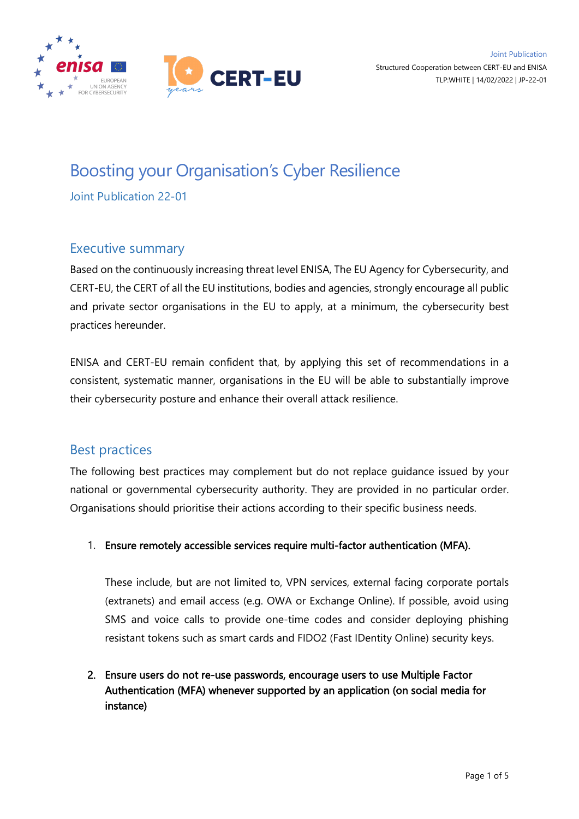

# Boosting your Organisation's Cyber Resilience

Joint Publication 22-01

# Executive summary

Based on the continuously increasing threat level ENISA, The EU Agency for Cybersecurity, and CERT-EU, the CERT of all the EU institutions, bodies and agencies, strongly encourage all public and private sector organisations in the EU to apply, at a minimum, the cybersecurity best practices hereunder.

ENISA and CERT-EU remain confident that, by applying this set of recommendations in a consistent, systematic manner, organisations in the EU will be able to substantially improve their cybersecurity posture and enhance their overall attack resilience.

# Best practices

The following best practices may complement but do not replace guidance issued by your national or governmental cybersecurity authority. They are provided in no particular order. Organisations should prioritise their actions according to their specific business needs.

1. Ensure remotely accessible services require multi-factor authentication (MFA).

These include, but are not limited to, VPN services, external facing corporate portals (extranets) and email access (e.g. OWA or Exchange Online). If possible, avoid using SMS and voice calls to provide one-time codes and consider deploying phishing resistant tokens such as smart cards and FIDO2 (Fast IDentity Online) security keys.

2. Ensure users do not re-use passwords, encourage users to use Multiple Factor Authentication (MFA) whenever supported by an application (on social media for instance)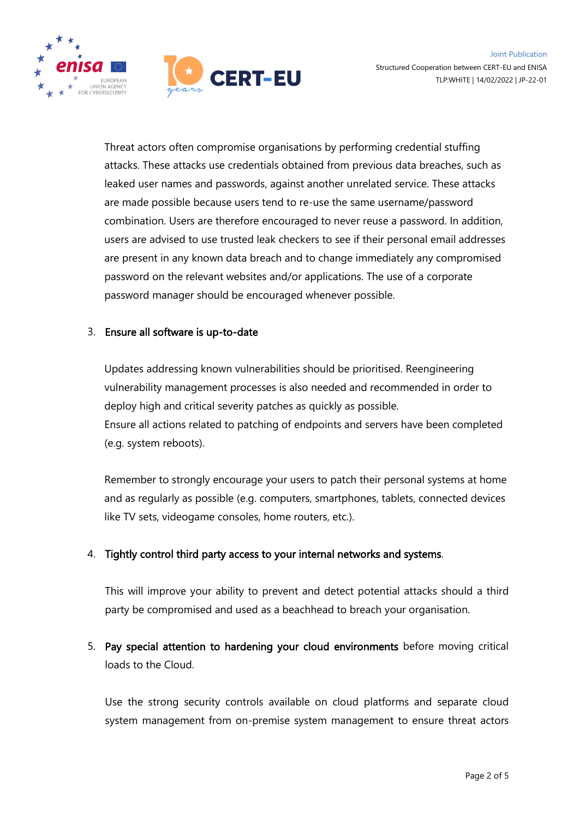

Threat actors often compromise organisations by performing credential stuffing attacks. These attacks use credentials obtained from previous data breaches, such as leaked user names and passwords, against another unrelated service. These attacks are made possible because users tend to re-use the same username/password combination. Users are therefore encouraged to never reuse a password. In addition, users are advised to use trusted leak checkers to see if their personal email addresses are present in any known data breach and to change immediately any compromised password on the relevant websites and/or applications. The use of a corporate password manager should be encouraged whenever possible.

#### 3. Ensure all software is up-to-date

Updates addressing known vulnerabilities should be prioritised. Reengineering vulnerability management processes is also needed and recommended in order to deploy high and critical severity patches as quickly as possible. Ensure all actions related to patching of endpoints and servers have been completed (e.g. system reboots).

Remember to strongly encourage your users to patch their personal systems at home and as regularly as possible (e.g. computers, smartphones, tablets, connected devices like TV sets, videogame consoles, home routers, etc.).

#### 4. Tightly control third party access to your internal networks and systems.

This will improve your ability to prevent and detect potential attacks should a third party be compromised and used as a beachhead to breach your organisation.

5. Pay special attention to hardening your cloud environments before moving critical loads to the Cloud.

Use the strong security controls available on cloud platforms and separate cloud system management from on-premise system management to ensure threat actors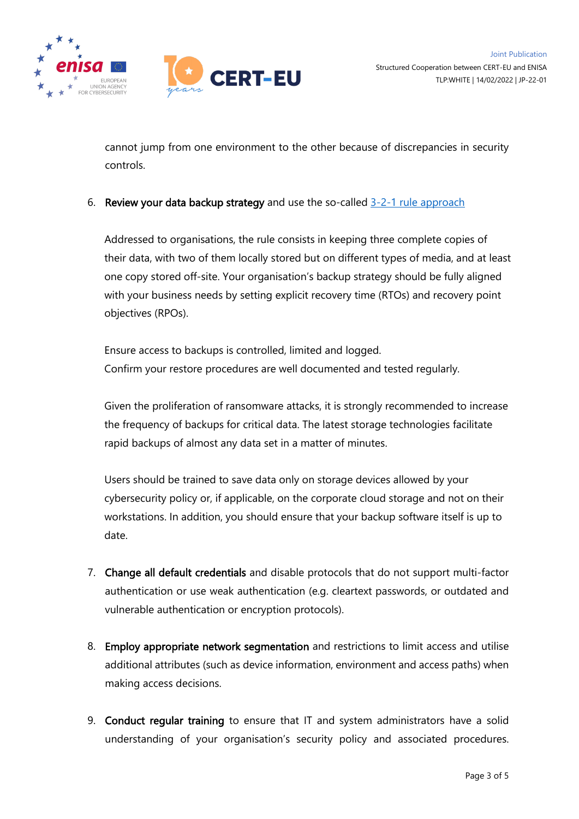



cannot jump from one environment to the other because of discrepancies in security controls.

6. Review your data backup strategy and use the so-called  $3-2-1$  rule approach

Addressed to organisations, the rule consists in keeping three complete copies of their data, with two of them locally stored but on different types of media, and at least one copy stored off-site. Your organisation's backup strategy should be fully aligned with your business needs by setting explicit recovery time (RTOs) and recovery point objectives (RPOs).

Ensure access to backups is controlled, limited and logged. Confirm your restore procedures are well documented and tested regularly.

Given the proliferation of ransomware attacks, it is strongly recommended to increase the frequency of backups for critical data. The latest storage technologies facilitate rapid backups of almost any data set in a matter of minutes.

Users should be trained to save data only on storage devices allowed by your cybersecurity policy or, if applicable, on the corporate cloud storage and not on their workstations. In addition, you should ensure that your backup software itself is up to date.

- 7. Change all default credentials and disable protocols that do not support multi-factor authentication or use weak authentication (e.g. cleartext passwords, or outdated and vulnerable authentication or encryption protocols).
- 8. Employ appropriate network segmentation and restrictions to limit access and utilise additional attributes (such as device information, environment and access paths) when making access decisions.
- 9. Conduct regular training to ensure that IT and system administrators have a solid understanding of your organisation's security policy and associated procedures.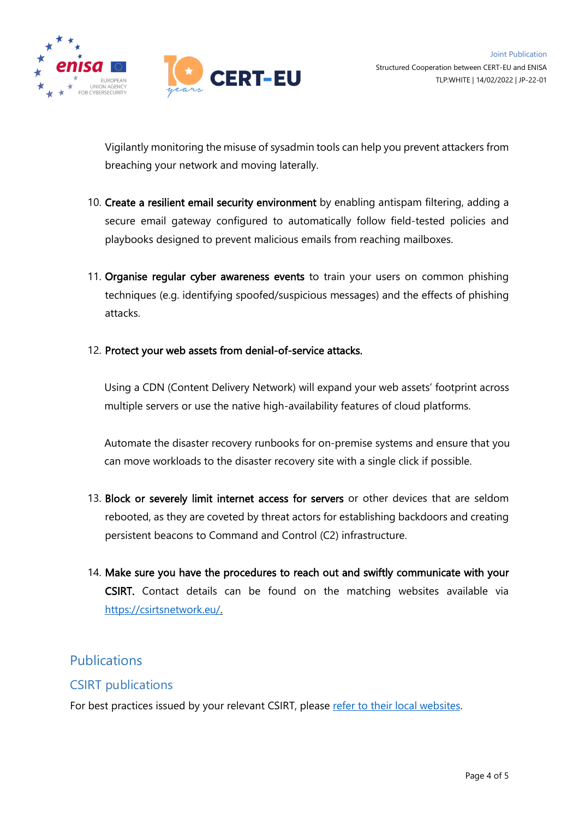

Vigilantly monitoring the misuse of sysadmin tools can help you prevent attackers from breaching your network and moving laterally.

- 10. Create a resilient email security environment by enabling antispam filtering, adding a secure email gateway configured to automatically follow field-tested policies and playbooks designed to prevent malicious emails from reaching mailboxes.
- 11. Organise regular cyber awareness events to train your users on common phishing techniques (e.g. identifying spoofed/suspicious messages) and the effects of phishing attacks.
- 12. Protect your web assets from denial-of-service attacks.

Using a CDN (Content Delivery Network) will expand your web assets' footprint across multiple servers or use the native high-availability features of cloud platforms.

Automate the disaster recovery runbooks for on-premise systems and ensure that you can move workloads to the disaster recovery site with a single click if possible.

- 13. Block or severely limit internet access for servers or other devices that are seldom rebooted, as they are coveted by threat actors for establishing backdoors and creating persistent beacons to Command and Control (C2) infrastructure.
- 14. Make sure you have the procedures to reach out and swiftly communicate with your CSIRT. Contact details can be found on the matching websites available via [https://csirtsnetwork.eu/.](https://csirtsnetwork.eu/)

# Publications

#### CSIRT publications

For best practices issued by your relevant CSIRT, please [refer to their local websites.](https://csirtsnetwork.eu/)